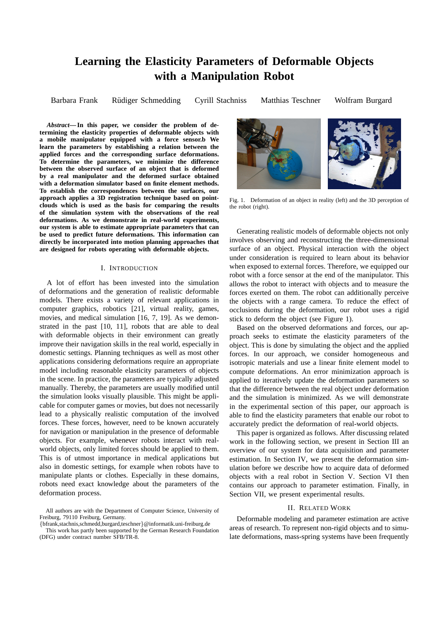# **Learning the Elasticity Parameters of Deformable Objects with a Manipulation Robot**

Barbara Frank • Rüdiger Schmedding • Cyrill Stachniss • Matthias Teschner • Wolfram Burgard

*Abstract***— In this paper, we consider the problem of determining the elasticity properties of deformable objects with a mobile manipulator equipped with a force sensor.b We learn the parameters by establishing a relation between the applied forces and the corresponding surface deformations. To determine the parameters, we minimize the difference between the observed surface of an object that is deformed by a real manipulator and the deformed surface obtained with a deformation simulator based on finite element methods. To establish the correspondences between the surfaces, our approach applies a 3D registration technique based on pointclouds which is used as the basis for comparing the results of the simulation system with the observations of the real deformations. As we demonstrate in real-world experiments, our system is able to estimate appropriate parameters that can be used to predict future deformations. This information can directly be incorporated into motion planning approaches that are designed for robots operating with deformable objects.**

# I. INTRODUCTION

A lot of effort has been invested into the simulation of deformations and the generation of realistic deformable models. There exists a variety of relevant applications in computer graphics, robotics [21], virtual reality, games, movies, and medical simulation [16, 7, 19]. As we demonstrated in the past [10, 11], robots that are able to deal with deformable objects in their environment can greatly improve their navigation skills in the real world, especially in domestic settings. Planning techniques as well as most other applications considering deformations require an appropriate model including reasonable elasticity parameters of objects in the scene. In practice, the parameters are typically adjusted manually. Thereby, the parameters are usually modified until the simulation looks visually plausible. This might be applicable for computer games or movies, but does not necessarily lead to a physically realistic computation of the involved forces. These forces, however, need to be known accurately for navigation or manipulation in the presence of deformable objects. For example, whenever robots interact with realworld objects, only limited forces should be applied to them. This is of utmost importance in medical applications but also in domestic settings, for example when robots have to manipulate plants or clothes. Especially in these domains, robots need exact knowledge about the parameters of the deformation process.



Fig. 1. Deformation of an object in reality (left) and the 3D perception of the robot (right).

Generating realistic models of deformable objects not only involves observing and reconstructing the three-dimensional surface of an object. Physical interaction with the object under consideration is required to learn about its behavior when exposed to external forces. Therefore, we equipped our robot with a force sensor at the end of the manipulator. This allows the robot to interact with objects and to measure the forces exerted on them. The robot can additionally perceive the objects with a range camera. To reduce the effect of occlusions during the deformation, our robot uses a rigid stick to deform the object (see Figure 1).

Based on the observed deformations and forces, our approach seeks to estimate the elasticity parameters of the object. This is done by simulating the object and the applied forces. In our approach, we consider homogeneous and isotropic materials and use a linear finite element model to compute deformations. An error minimization approach is applied to iteratively update the deformation parameters so that the difference between the real object under deformation and the simulation is minimized. As we will demonstrate in the experimental section of this paper, our approach is able to find the elasticity parameters that enable our robot to accurately predict the deformation of real-world objects.

This paper is organized as follows. After discussing related work in the following section, we present in Section III an overview of our system for data acquisition and parameter estimation. In Section IV, we present the deformation simulation before we describe how to acquire data of deformed objects with a real robot in Section V. Section VI then contains our approach to parameter estimation. Finally, in Section VII, we present experimental results.

# II. RELATED WORK

Deformable modeling and parameter estimation are active areas of research. To represent non-rigid objects and to simulate deformations, mass-spring systems have been frequently

All authors are with the Department of Computer Science, University of Freiburg, 79110 Freiburg, Germany.

<sup>{</sup>bfrank,stachnis,schmedd,burgard,teschner}@informatik.uni-freiburg.de This work has partly been supported by the German Research Foundation (DFG) under contract number SFB/TR-8.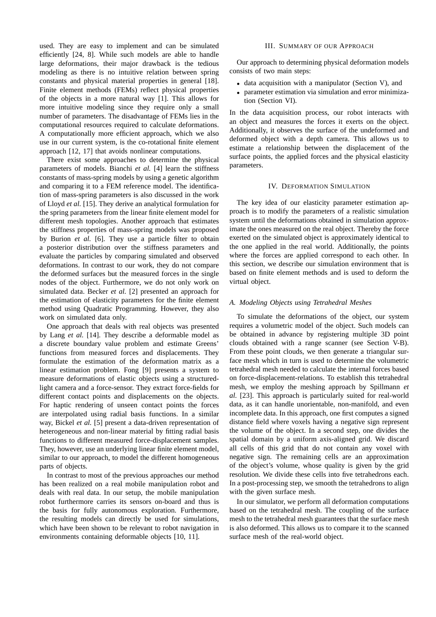used. They are easy to implement and can be simulated efficiently [24, 8]. While such models are able to handle large deformations, their major drawback is the tedious modeling as there is no intuitive relation between spring constants and physical material properties in general [18]. Finite element methods (FEMs) reflect physical properties of the objects in a more natural way [1]. This allows for more intuitive modeling since they require only a small number of parameters. The disadvantage of FEMs lies in the computational resources required to calculate deformations. A computationally more efficient approach, which we also use in our current system, is the co-rotational finite element approach [12, 17] that avoids nonlinear computations.

There exist some approaches to determine the physical parameters of models. Bianchi *et al.* [4] learn the stiffness constants of mass-spring models by using a genetic algorithm and comparing it to a FEM reference model. The identification of mass-spring parameters is also discussed in the work of Lloyd *et al.* [15]. They derive an analytical formulation for the spring parameters from the linear finite element model for different mesh topologies. Another approach that estimates the stiffness properties of mass-spring models was proposed by Burion *et al.* [6]. They use a particle filter to obtain a posterior distribution over the stiffness parameters and evaluate the particles by comparing simulated and observed deformations. In contrast to our work, they do not compare the deformed surfaces but the measured forces in the single nodes of the object. Furthermore, we do not only work on simulated data. Becker *et al.* [2] presented an approach for the estimation of elasticity parameters for the finite element method using Quadratic Programming. However, they also work on simulated data only.

One approach that deals with real objects was presented by Lang *et al.* [14]. They describe a deformable model as a discrete boundary value problem and estimate Greens' functions from measured forces and displacements. They formulate the estimation of the deformation matrix as a linear estimation problem. Fong [9] presents a system to measure deformations of elastic objects using a structuredlight camera and a force-sensor. They extract force-fields for different contact points and displacements on the objects. For haptic rendering of unseen contact points the forces are interpolated using radial basis functions. In a similar way, Bickel *et al.* [5] present a data-driven representation of heterogeneous and non-linear material by fitting radial basis functions to different measured force-displacement samples. They, however, use an underlying linear finite element model, similar to our approach, to model the different homogeneous parts of objects.

In contrast to most of the previous approaches our method has been realized on a real mobile manipulation robot and deals with real data. In our setup, the mobile manipulation robot furthermore carries its sensors on-board and thus is the basis for fully autonomous exploration. Furthermore, the resulting models can directly be used for simulations, which have been shown to be relevant to robot navigation in environments containing deformable objects [10, 11].

# III. SUMMARY OF OUR APPROACH

Our approach to determining physical deformation models consists of two main steps:

- data acquisition with a manipulator (Section V), and
- parameter estimation via simulation and error minimization (Section VI).

In the data acquisition process, our robot interacts with an object and measures the forces it exerts on the object. Additionally, it observes the surface of the undeformed and deformed object with a depth camera. This allows us to estimate a relationship between the displacement of the surface points, the applied forces and the physical elasticity parameters.

#### IV. DEFORMATION SIMULATION

The key idea of our elasticity parameter estimation approach is to modify the parameters of a realistic simulation system until the deformations obtained in simulation approximate the ones measured on the real object. Thereby the force exerted on the simulated object is approximately identical to the one applied in the real world. Additionally, the points where the forces are applied correspond to each other. In this section, we describe our simulation environment that is based on finite element methods and is used to deform the virtual object.

# *A. Modeling Objects using Tetrahedral Meshes*

To simulate the deformations of the object, our system requires a volumetric model of the object. Such models can be obtained in advance by registering multiple 3D point clouds obtained with a range scanner (see Section V-B). From these point clouds, we then generate a triangular surface mesh which in turn is used to determine the volumetric tetrahedral mesh needed to calculate the internal forces based on force-displacement-relations. To establish this tetrahedral mesh, we employ the meshing approach by Spillmann *et al.* [23]. This approach is particularly suited for real-world data, as it can handle unorientable, non-manifold, and even incomplete data. In this approach, one first computes a signed distance field where voxels having a negative sign represent the volume of the object. In a second step, one divides the spatial domain by a uniform axis-aligned grid. We discard all cells of this grid that do not contain any voxel with negative sign. The remaining cells are an approximation of the object's volume, whose quality is given by the grid resolution. We divide these cells into five tetrahedrons each. In a post-processing step, we smooth the tetrahedrons to align with the given surface mesh.

In our simulator, we perform all deformation computations based on the tetrahedral mesh. The coupling of the surface mesh to the tetrahedral mesh guarantees that the surface mesh is also deformed. This allows us to compare it to the scanned surface mesh of the real-world object.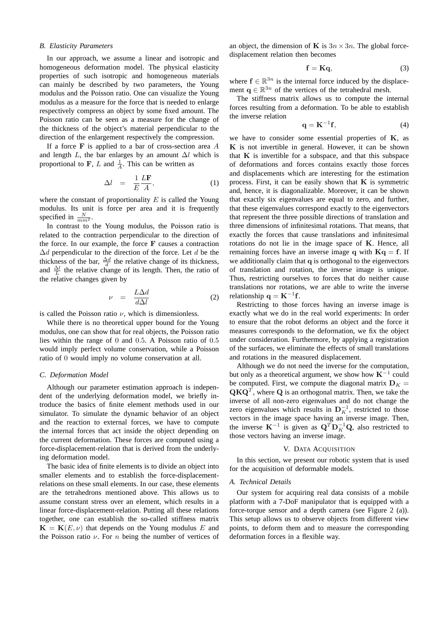## *B. Elasticity Parameters*

In our approach, we assume a linear and isotropic and homogeneous deformation model. The physical elasticity properties of such isotropic and homogeneous materials can mainly be described by two parameters, the Young modulus and the Poisson ratio. One can visualize the Young modulus as a measure for the force that is needed to enlarge respectively compress an object by some fixed amount. The Poisson ratio can be seen as a measure for the change of the thickness of the object's material perpendicular to the direction of the enlargement respectively the compression.

If a force  $\bf{F}$  is applied to a bar of cross-section area  $\bf{A}$ and length  $L$ , the bar enlarges by an amount  $\Delta l$  which is proportional to **F**, L and  $\frac{1}{A}$ . This can be written as

$$
\Delta l = \frac{1}{E} \frac{L\mathbf{F}}{A}, \tag{1}
$$

where the constant of proportionality  $E$  is called the Young modulus. Its unit is force per area and it is frequently specified in  $\frac{N}{mm^2}$ .

In contrast to the Young modulus, the Poisson ratio is related to the contraction perpendicular to the direction of the force. In our example, the force  $F$  causes a contraction  $\Delta d$  perpendicular to the direction of the force. Let d be the thickness of the bar,  $\frac{\Delta d}{d}$  the relative change of its thickness, and  $\frac{\Delta l}{L}$  the relative change of its length. Then, the ratio of the relative changes given by

$$
\nu = \frac{L\Delta d}{d\Delta l} \tag{2}
$$

is called the Poisson ratio  $\nu$ , which is dimensionless.

While there is no theoretical upper bound for the Young modulus, one can show that for real objects, the Poisson ratio lies within the range of 0 and 0.5. A Poisson ratio of 0.5 would imply perfect volume conservation, while a Poisson ratio of 0 would imply no volume conservation at all.

# *C. Deformation Model*

Although our parameter estimation approach is independent of the underlying deformation model, we briefly introduce the basics of finite element methods used in our simulator. To simulate the dynamic behavior of an object and the reaction to external forces, we have to compute the internal forces that act inside the object depending on the current deformation. These forces are computed using a force-displacement-relation that is derived from the underlying deformation model.

The basic idea of finite elements is to divide an object into smaller elements and to establish the force-displacementrelations on these small elements. In our case, these elements are the tetrahedrons mentioned above. This allows us to assume constant stress over an element, which results in a linear force-displacement-relation. Putting all these relations together, one can establish the so-called stiffness matrix  ${\bf K} = {\bf K}(E, \nu)$  that depends on the Young modulus E and the Poisson ratio  $\nu$ . For *n* being the number of vertices of

an object, the dimension of K is  $3n \times 3n$ . The global forcedisplacement relation then becomes

$$
\mathbf{f} = \mathbf{K}\mathbf{q},\tag{3}
$$

where  $f \in \mathbb{R}^{3n}$  is the internal force induced by the displacement  $q \in \mathbb{R}^{3n}$  of the vertices of the tetrahedral mesh.

The stiffness matrix allows us to compute the internal forces resulting from a deformation. To be able to establish the inverse relation

$$
\mathbf{q} = \mathbf{K}^{-1} \mathbf{f},\tag{4}
$$

we have to consider some essential properties of  $K$ , as  $K$  is not invertible in general. However, it can be shown that  $K$  is invertible for a subspace, and that this subspace of deformations and forces contains exactly those forces and displacements which are interesting for the estimation process. First, it can be easily shown that  $K$  is symmetric and, hence, it is diagonalizable. Moreover, it can be shown that exactly six eigenvalues are equal to zero, and further, that these eigenvalues correspond exactly to the eigenvectors that represent the three possible directions of translation and three dimensions of infinitesimal rotations. That means, that exactly the forces that cause translations and infinitesimal rotations do not lie in the image space of K. Hence, all remaining forces have an inverse image q with  $Kq = f$ . If we additionally claim that q is orthogonal to the eigenvectors of translation and rotation, the inverse image is unique. Thus, restricting ourselves to forces that do neither cause translations nor rotations, we are able to write the inverse relationship  $q = K^{-1}f$ .

Restricting to those forces having an inverse image is exactly what we do in the real world experiments: In order to ensure that the robot deforms an object and the force it measures corresponds to the deformation, we fix the object under consideration. Furthermore, by applying a registration of the surfaces, we eliminate the effects of small translations and rotations in the measured displacement.

Although we do not need the inverse for the computation, but only as a theoretical argument, we show how  $K^{-1}$  could be computed. First, we compute the diagonal matrix  $\mathbf{D}_K =$  $\mathbf{Q} \mathbf{K} \mathbf{Q}^T$ , where  $\mathbf{Q}$  is an orthogonal matrix. Then, we take the inverse of all non-zero eigenvalues and do not change the zero eigenvalues which results in  $\mathbf{D}_K^{-1}$ , restricted to those vectors in the image space having an inverse image. Then, the inverse  $\mathbf{K}^{-1}$  is given as  $\mathbf{Q}^T \mathbf{D}_K^{-1} \mathbf{Q}$ , also restricted to those vectors having an inverse image.

#### V. DATA ACQUISITION

In this section, we present our robotic system that is used for the acquisition of deformable models.

# *A. Technical Details*

Our system for acquiring real data consists of a mobile platform with a 7-DoF manipulator that is equipped with a force-torque sensor and a depth camera (see Figure 2 (a)). This setup allows us to observe objects from different view points, to deform them and to measure the corresponding deformation forces in a flexible way.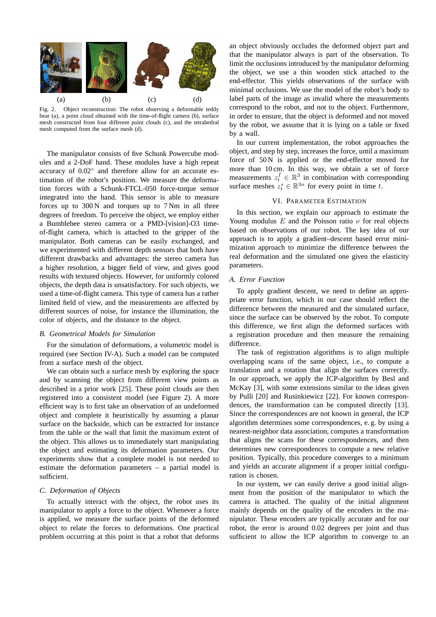

Fig. 2. Object reconstruction: The robot observing a deformable teddy bear (a), a point cloud obtained with the time-of-flight camera (b), surface mesh constructed from four different point clouds (c), and the tetrahedral mesh computed from the surface mesh (d).

The manipulator consists of five Schunk Powercube modules and a 2-DoF hand. These modules have a high repeat accuracy of 0.02<sup>°</sup> and therefore allow for an accurate estimation of the robot's position. We measure the deformation forces with a Schunk-FTCL-050 force-torque sensor integrated into the hand. This sensor is able to measure forces up to 300 N and torques up to 7 Nm in all three degrees of freedom. To perceive the object, we employ either a Bumblebee stereo camera or a PMD-[vision]-O3 timeof-flight camera, which is attached to the gripper of the manipulator. Both cameras can be easily exchanged, and we experimented with different depth sensors that both have different drawbacks and advantages: the stereo camera has a higher resolution, a bigger field of view, and gives good results with textured objects. However, for uniformly colored objects, the depth data is unsatisfactory. For such objects, we used a time-of-flight camera. This type of camera has a rather limited field of view, and the measurements are affected by different sources of noise, for instance the illumination, the color of objects, and the distance to the object.

# *B. Geometrical Models for Simulation*

For the simulation of deformations, a volumetric model is required (see Section IV-A). Such a model can be computed from a surface mesh of the object.

We can obtain such a surface mesh by exploring the space and by scanning the object from different view points as described in a prior work [25]. These point clouds are then registered into a consistent model (see Figure 2). A more efficient way is to first take an observation of an undeformed object and complete it heuristically by assuming a planar surface on the backside, which can be extracted for instance from the table or the wall that limit the maximum extent of the object. This allows us to immediately start manipulating the object and estimating its deformation parameters. Our experiments show that a complete model is not needed to estimate the deformation parameters – a partial model is sufficient.

#### *C. Deformation of Objects*

To actually interact with the object, the robot uses its manipulator to apply a force to the object. Whenever a force is applied, we measure the surface points of the deformed object to relate the forces to deformations. One practical problem occurring at this point is that a robot that deforms

an object obviously occludes the deformed object part and that the manipulator always is part of the observation. To limit the occlusions introduced by the manipulator deforming the object, we use a thin wooden stick attached to the end-effector. This yields observations of the surface with minimal occlusions. We use the model of the robot's body to label parts of the image as invalid where the measurements correspond to the robot, and not to the object. Furthermore, in order to ensure, that the object is deformed and not moved by the robot, we assume that it is lying on a table or fixed by a wall.

In our current implementation, the robot approaches the object, and step by step, increases the force, until a maximum force of  $50 N$  is applied or the end-effector moved for more than 10 cm. In this way, we obtain a set of force measurements  $z_t^f \in \mathbb{R}^3$  in combination with corresponding surface meshes  $z_t^s \in \mathbb{R}^{3n}$  for every point in time t.

#### VI. PARAMETER ESTIMATION

In this section, we explain our approach to estimate the Young modulus  $E$  and the Poisson ratio  $\nu$  for real objects based on observations of our robot. The key idea of our approach is to apply a gradient–descent based error minimization approach to minimize the difference between the real deformation and the simulated one given the elasticity parameters.

# *A. Error Function*

To apply gradient descent, we need to define an appropriate error function, which in our case should reflect the difference between the measured and the simulated surface, since the surface can be observed by the robot. To compute this difference, we first align the deformed surfaces with a registration procedure and then measure the remaining difference.

The task of registration algorithms is to align multiple overlapping scans of the same object, i.e., to compute a translation and a rotation that align the surfaces correctly. In our approach, we apply the ICP-algorithm by Besl and McKay [3], with some extensions similar to the ideas given by Pulli [20] and Rusinkiewicz [22]. For known correspondences, the transformation can be computed directly [13]. Since the correspondences are not known in general, the ICP algorithm determines some correspondences, e. g. by using a nearest-neighbor data association, computes a transformation that aligns the scans for these correspondences, and then determines new correspondences to compute a new relative position. Typically, this procedure converges to a minimum and yields an accurate alignment if a proper initial configuration is chosen.

In our system, we can easily derive a good initial alignment from the position of the manipulator to which the camera is attached. The quality of the initial alignment mainly depends on the quality of the encoders in the manipulator. These encoders are typically accurate and for our robot, the error is around 0.02 degrees per joint and thus sufficient to allow the ICP algorithm to converge to an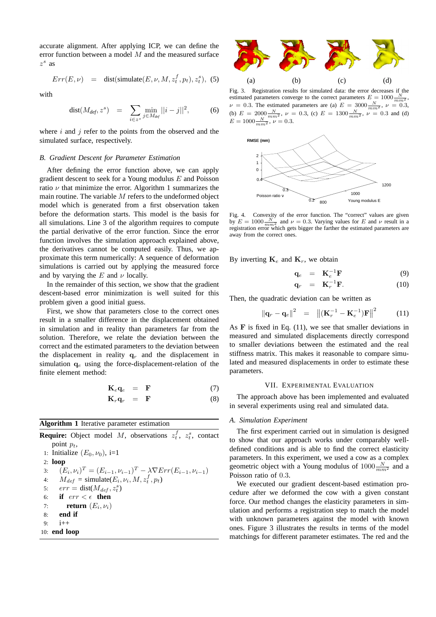accurate alignment. After applying ICP, we can define the error function between a model M and the measured surface  $z^s$  as

$$
Err(E, \nu) = \text{dist}(\text{simulate}(E, \nu, M, z_t^f, p_t), z_t^s), (5)
$$

with

$$
dist(M_{def}, z^s) = \sum_{i \in z^s} \min_{j \in M_{def}} ||i - j||^2, \tag{6}
$$

where  $i$  and  $j$  refer to the points from the observed and the simulated surface, respectively.

## *B. Gradient Descent for Parameter Estimation*

After defining the error function above, we can apply gradient descent to seek for a Young modulus  $E$  and Poisson ratio  $\nu$  that minimize the error. Algorithm 1 summarizes the main routine. The variable  $M$  refers to the undeformed object model which is generated from a first observation taken before the deformation starts. This model is the basis for all simulations. Line 3 of the algorithm requires to compute the partial derivative of the error function. Since the error function involves the simulation approach explained above, the derivatives cannot be computed easily. Thus, we approximate this term numerically: A sequence of deformation simulations is carried out by applying the measured force and by varying the  $E$  and  $\nu$  locally.

In the remainder of this section, we show that the gradient descent-based error minimization is well suited for this problem given a good initial guess.

First, we show that parameters close to the correct ones result in a smaller difference in the displacement obtained in simulation and in reality than parameters far from the solution. Therefore, we relate the deviation between the correct and the estimated parameters to the deviation between the displacement in reality  $q_r$  and the displacement in simulation  $q_e$  using the force-displacement-relation of the finite element method:

$$
\mathbf{K}_e \mathbf{q}_e = \mathbf{F} \tag{7}
$$

$$
\mathbf{K}_r \mathbf{q}_r = \mathbf{F} \tag{8}
$$

## **Algorithm 1** Iterative parameter estimation

|    | <b>Require:</b> Object model M, observations $z_t^f$ , $z_t^s$ , contact              |
|----|---------------------------------------------------------------------------------------|
|    | point $p_t$ ,                                                                         |
|    | 1: Initialize $(E_0, \nu_0)$ , i=1                                                    |
|    | $2:$ loop                                                                             |
|    | 3: $(E_i, \nu_i)^T = (E_{i-1}, \nu_{i-1})^T - \lambda \nabla Err(E_{i-1}, \nu_{i-1})$ |
|    | 4: $M_{def}$ = simulate( $E_i$ , $\nu_i$ , $M$ , $z_t^f$ , $p_t$ )                    |
|    | 5: $err = dist(M_{def}, z_t^s)$                                                       |
|    | 6: if $err < \epsilon$ then                                                           |
|    | <b>return</b> $(E_i, \nu_i)$<br>7:                                                    |
| 8: | end if                                                                                |
| 9: | $i++$                                                                                 |
|    | 10: end loop                                                                          |



Fig. 3. Registration results for simulated data: the error decreases if the estimated parameters converge to the correct parameters  $E = 1000 \frac{N}{mm^2}$ ,  $\nu = 0.3$ . The estimated parameters are (a)  $E = 3000 \frac{N}{mm^2}$ ,  $\nu = 0.3$ , (b)  $E = 2000 \frac{N}{mm^2}$ ,  $\nu = 0.3$ , (c)  $E = 1300 \frac{N}{mm^2}$ ,  $\nu = 0.3$  and (d)  $E = 1000 \frac{N}{mm^2}$ ,  $\nu = 0.3$ .



Fig. 4. Convexity of the error function. The "correct" values are given by  $E = 1000 \frac{N}{mm^2}$  and  $\nu = 0.3$ . Varying values for E and  $\nu$  result in a registration error which gets bigger the farther the estimated parameters are away from the correct ones.

By inverting  $\mathbf{K}_e$  and  $\mathbf{K}_r$ , we obtain

$$
\mathbf{q}_e = \mathbf{K}_e^{-1} \mathbf{F} \tag{9}
$$

$$
\mathbf{q}_r = \mathbf{K}_r^{-1} \mathbf{F}.
$$
 (10)

Then, the quadratic deviation can be written as

$$
\|\mathbf{q}_r - \mathbf{q}_e\|^2 = \left\| (\mathbf{K}_r^{-1} - \mathbf{K}_e^{-1}) \mathbf{F} \right\|^2 \tag{11}
$$

As  $F$  is fixed in Eq.  $(11)$ , we see that smaller deviations in measured and simulated displacements directly correspond to smaller deviations between the estimated and the real stiffness matrix. This makes it reasonable to compare simulated and measured displacements in order to estimate these parameters.

#### VII. EXPERIMENTAL EVALUATION

The approach above has been implemented and evaluated in several experiments using real and simulated data.

# *A. Simulation Experiment*

The first experiment carried out in simulation is designed to show that our approach works under comparably welldefined conditions and is able to find the correct elasticity parameters. In this experiment, we used a cow as a complex geometric object with a Young modulus of  $1000 \frac{N}{mm^2}$  and a Poisson ratio of 0.3.

We executed our gradient descent-based estimation procedure after we deformed the cow with a given constant force. Our method changes the elasticity parameters in simulation and performs a registration step to match the model with unknown parameters against the model with known ones. Figure 3 illustrates the results in terms of the model matchings for different parameter estimates. The red and the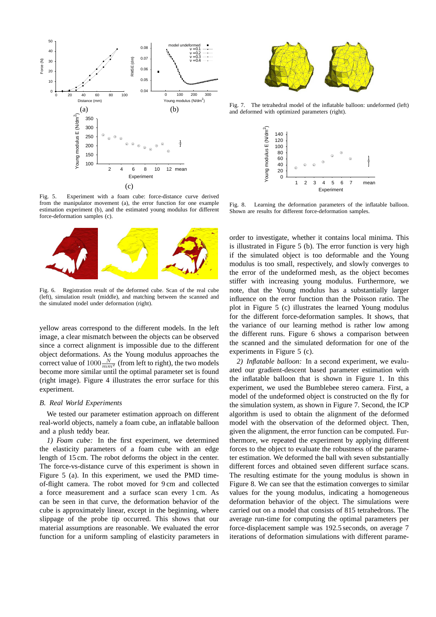

Fig. 5. Experiment with a foam cube: force-distance curve derived from the manipulator movement (a), the error function for one example estimation experiment (b), and the estimated young modulus for different force-deformation samples (c).



Fig. 6. Registration result of the deformed cube. Scan of the real cube (left), simulation result (middle), and matching between the scanned and the simulated model under deformation (right).

yellow areas correspond to the different models. In the left image, a clear mismatch between the objects can be observed since a correct alignment is impossible due to the different object deformations. As the Young modulus approaches the correct value of  $1000 \frac{N}{mm^2}$  (from left to right), the two models become more similar until the optimal parameter set is found (right image). Figure 4 illustrates the error surface for this experiment.

## *B. Real World Experiments*

We tested our parameter estimation approach on different real-world objects, namely a foam cube, an inflatable balloon and a plush teddy bear.

*1) Foam cube:* In the first experiment, we determined the elasticity parameters of a foam cube with an edge length of 15 cm. The robot deforms the object in the center. The force-vs-distance curve of this experiment is shown in Figure 5 (a). In this experiment, we used the PMD timeof-flight camera. The robot moved for 9 cm and collected a force measurement and a surface scan every 1 cm. As can be seen in that curve, the deformation behavior of the cube is approximately linear, except in the beginning, where slippage of the probe tip occurred. This shows that our material assumptions are reasonable. We evaluated the error function for a uniform sampling of elasticity parameters in



Fig. 7. The tetrahedral model of the inflatable balloon: undeformed (left) and deformed with optimized parameters (right).



Fig. 8. Learning the deformation parameters of the inflatable balloon. Shown are results for different force-deformation samples.

order to investigate, whether it contains local minima. This is illustrated in Figure 5 (b). The error function is very high if the simulated object is too deformable and the Young modulus is too small, respectively, and slowly converges to the error of the undeformed mesh, as the object becomes stiffer with increasing young modulus. Furthermore, we note, that the Young modulus has a substantially larger influence on the error function than the Poisson ratio. The plot in Figure 5 (c) illustrates the learned Young modulus for the different force-deformation samples. It shows, that the variance of our learning method is rather low among the different runs. Figure 6 shows a comparison between the scanned and the simulated deformation for one of the experiments in Figure 5 (c).

*2) Inflatable balloon:* In a second experiment, we evaluated our gradient-descent based parameter estimation with the inflatable balloon that is shown in Figure 1. In this experiment, we used the Bumblebee stereo camera. First, a model of the undeformed object is constructed on the fly for the simulation system, as shown in Figure 7. Second, the ICP algorithm is used to obtain the alignment of the deformed model with the observation of the deformed object. Then, given the alignment, the error function can be computed. Furthermore, we repeated the experiment by applying different forces to the object to evaluate the robustness of the parameter estimation. We deformed the ball with seven substantially different forces and obtained seven different surface scans. The resulting estimate for the young modulus is shown in Figure 8. We can see that the estimation converges to similar values for the young modulus, indicating a homogeneous deformation behavior of the object. The simulations were carried out on a model that consists of 815 tetrahedrons. The average run-time for computing the optimal parameters per force-displacement sample was 192.5 seconds, on average 7 iterations of deformation simulations with different parame-